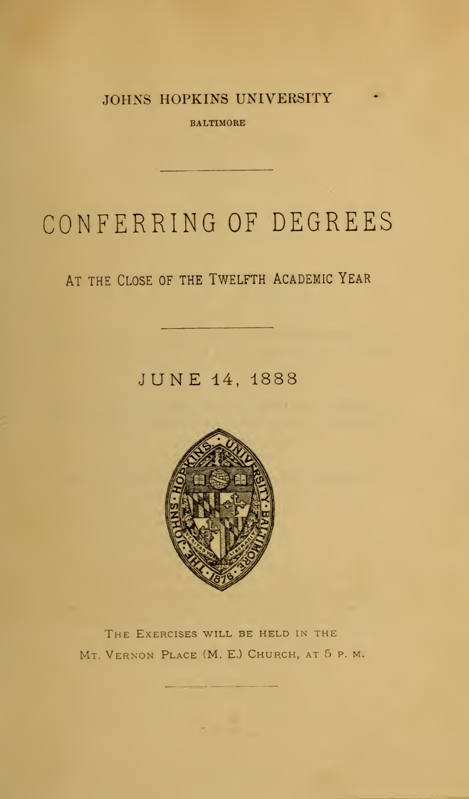JOHNS HOPKINS UNIVERSITY

BALTIMORE

# CONFERRING OF DEGREES

## AT THE CLOSE OF THE TWELFTH ACADEMIC YEAR

JUNE 14,1888



THE EXERCISES WILL BE HELD IN THE Mt. Vernon Place (M. E.) Church, at 5 p. m.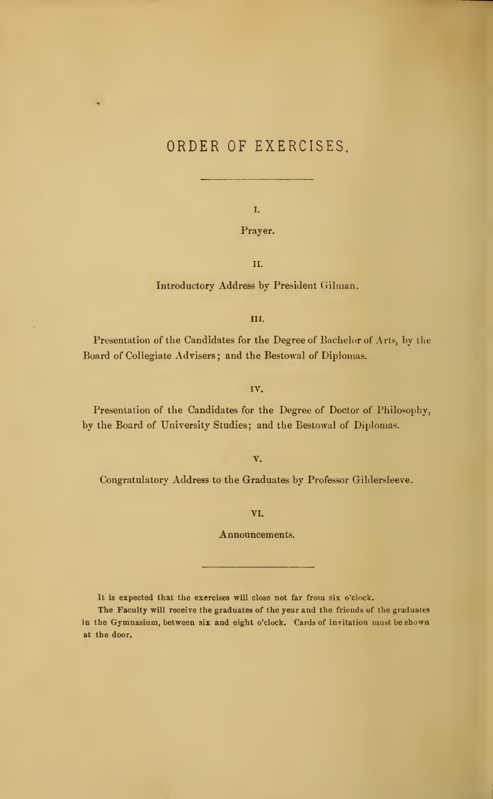### ORDER OF EXERCISES

I.

Prayer.

II.

Introductory Address by President Oilman.

III.

Presentation of the Candidates for the Degree of Bachelor of Arts, by the Board of Collegiate Advisers ; and the Bestowal of Diplomas.

IV.

Presentation of the Candidates for the Degree of Doctor of Philosophy, by the Board of University Studies; and the Bestowal of Diplomas.

V.

Congratulatory Address to the Graduates by Professor Gildersleeve.

VI.

Announcements.

It is expected that the exercises will close not far from six o'clock.

The Faculty will receive the graduates of the year and the friends of the graduates in the Gymnasium, between six and eight o'clock. Cards of invitation must be shown at the door.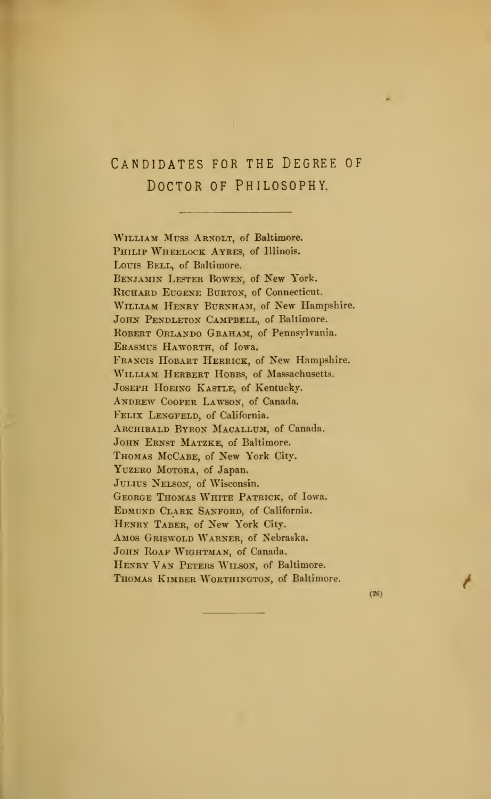## Candidates for the Degree of DOCTOR OF PHILOSOPHY.

WILLIAM MUSS ARNOLT, of Baltimore. PHILIP WHEELOCK AYRES, of Illinois. Louis BELL, of Baltimore. Benjamin Lester Bowen, of New York. RICHARD EUGENE BURTON, of Connecticut. WILLIAM HENRY BURNHAM, of New Hampshire. JOHN PENDLETON CAMPBELL, of Baltimore. ROBERT ORLANDO GRAHAM, of Pennsylvania. Erasmus Haworth, of Iowa. Francis Hobart Herrick, of New Hampshire. WILLIAM HERBERT HOBBS, of Massachusetts. Joseph Hoeing Kastle, of Kentucky. ANDREW COOPER LAWSON, of Canada. FELIX LENGFELD, of California. ARCHIBALD BYRON MACALLUM, of Canada. JOHN ERNST MATZKE, of Baltimore. Thomas McCabe, of New York City. YUZERO MOTORA, of Japan. JULIUS NELSON, of Wisconsin. George Thomas White Patrick, of Iowa. EDMUND CLARK SANFORD, of California. Henry Taber, of New York City. Amos Griswold Warner, of Nebraska. JOHN ROAF WIGHTMAN, of Canada. HENRY VAN PETERS WILSON, of Baltimore. Thomas Kimber Worthington, of Baltimore.

(26)